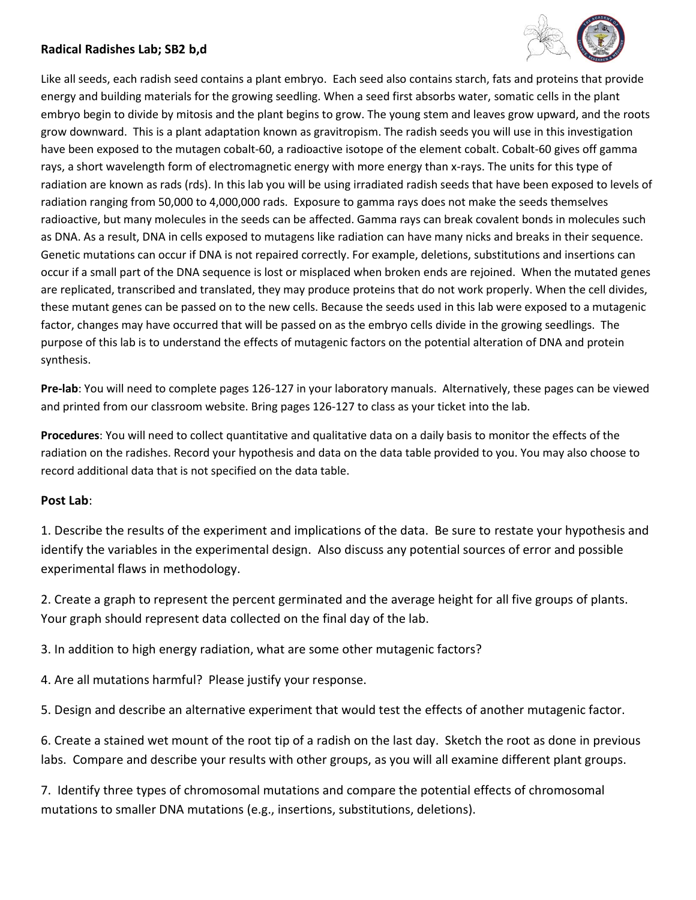## **Radical Radishes Lab; SB2 b,d**



Like all seeds, each radish seed contains a plant embryo. Each seed also contains starch, fats and proteins that provide energy and building materials for the growing seedling. When a seed first absorbs water, somatic cells in the plant embryo begin to divide by mitosis and the plant begins to grow. The young stem and leaves grow upward, and the roots grow downward. This is a plant adaptation known as gravitropism. The radish seeds you will use in this investigation have been exposed to the mutagen cobalt-60, a radioactive isotope of the element cobalt. Cobalt-60 gives off gamma rays, a short wavelength form of electromagnetic energy with more energy than x-rays. The units for this type of radiation are known as rads (rds). In this lab you will be using irradiated radish seeds that have been exposed to levels of radiation ranging from 50,000 to 4,000,000 rads. Exposure to gamma rays does not make the seeds themselves radioactive, but many molecules in the seeds can be affected. Gamma rays can break covalent bonds in molecules such as DNA. As a result, DNA in cells exposed to mutagens like radiation can have many nicks and breaks in their sequence. Genetic mutations can occur if DNA is not repaired correctly. For example, deletions, substitutions and insertions can occur if a small part of the DNA sequence is lost or misplaced when broken ends are rejoined. When the mutated genes are replicated, transcribed and translated, they may produce proteins that do not work properly. When the cell divides, these mutant genes can be passed on to the new cells. Because the seeds used in this lab were exposed to a mutagenic factor, changes may have occurred that will be passed on as the embryo cells divide in the growing seedlings. The purpose of this lab is to understand the effects of mutagenic factors on the potential alteration of DNA and protein synthesis.

**Pre-lab**: You will need to complete pages 126-127 in your laboratory manuals. Alternatively, these pages can be viewed and printed from our classroom website. Bring pages 126-127 to class as your ticket into the lab.

**Procedures**: You will need to collect quantitative and qualitative data on a daily basis to monitor the effects of the radiation on the radishes. Record your hypothesis and data on the data table provided to you. You may also choose to record additional data that is not specified on the data table.

## **Post Lab**:

1. Describe the results of the experiment and implications of the data. Be sure to restate your hypothesis and identify the variables in the experimental design. Also discuss any potential sources of error and possible experimental flaws in methodology.

2. Create a graph to represent the percent germinated and the average height for all five groups of plants. Your graph should represent data collected on the final day of the lab.

3. In addition to high energy radiation, what are some other mutagenic factors?

4. Are all mutations harmful? Please justify your response.

5. Design and describe an alternative experiment that would test the effects of another mutagenic factor.

6. Create a stained wet mount of the root tip of a radish on the last day. Sketch the root as done in previous labs. Compare and describe your results with other groups, as you will all examine different plant groups.

7. Identify three types of chromosomal mutations and compare the potential effects of chromosomal mutations to smaller DNA mutations (e.g., insertions, substitutions, deletions).